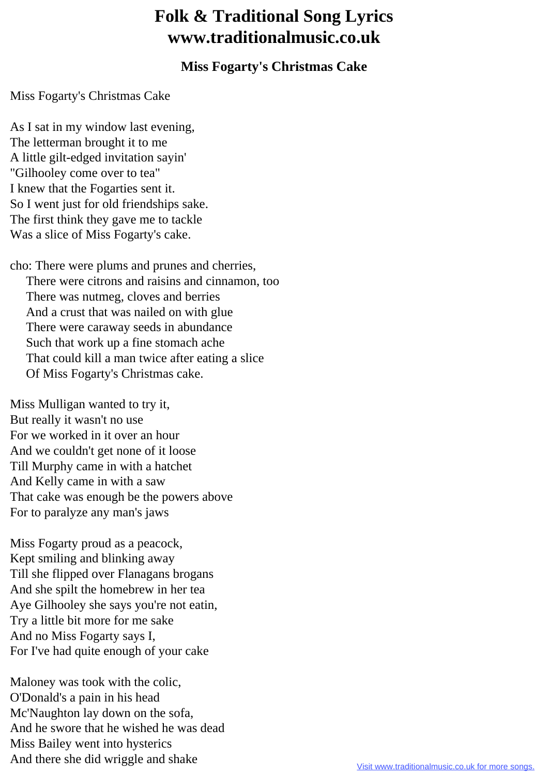## **Folk & Traditional Song Lyrics www.traditionalmusic.co.uk**

## **Miss Fogarty's Christmas Cake**

Miss Fogarty's Christmas Cake

As I sat in my window last evening, The letterman brought it to me A little gilt-edged invitation sayin' "Gilhooley come over to tea" I knew that the Fogarties sent it. So I went just for old friendships sake. The first think they gave me to tackle Was a slice of Miss Fogarty's cake.

cho: There were plums and prunes and cherries, There were citrons and raisins and cinnamon, too There was nutmeg, cloves and berries And a crust that was nailed on with glue There were caraway seeds in abundance Such that work up a fine stomach ache That could kill a man twice after eating a slice Of Miss Fogarty's Christmas cake.

Miss Mulligan wanted to try it, But really it wasn't no use For we worked in it over an hour And we couldn't get none of it loose Till Murphy came in with a hatchet And Kelly came in with a saw That cake was enough be the powers above For to paralyze any man's jaws

Miss Fogarty proud as a peacock, Kept smiling and blinking away Till she flipped over Flanagans brogans And she spilt the homebrew in her tea Aye Gilhooley she says you're not eatin, Try a little bit more for me sake And no Miss Fogarty says I, For I've had quite enough of your cake

Maloney was took with the colic, O'Donald's a pain in his head Mc'Naughton lay down on the sofa, And he swore that he wished he was dead Miss Bailey went into hysterics And there she did wriggle and shake